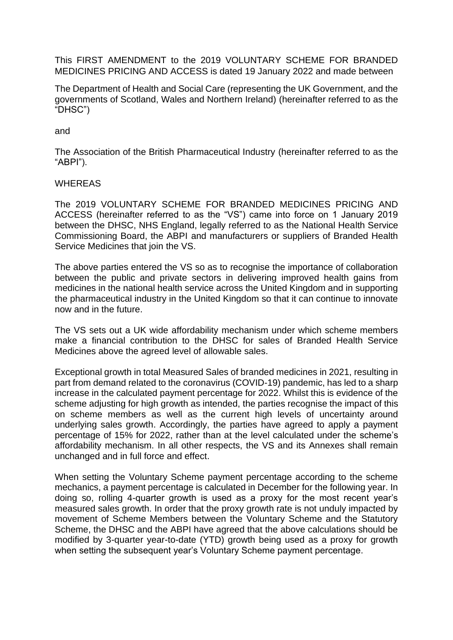This FIRST AMENDMENT to the 2019 VOLUNTARY SCHEME FOR BRANDED MEDICINES PRICING AND ACCESS is dated 19 January 2022 and made between

The Department of Health and Social Care (representing the UK Government, and the governments of Scotland, Wales and Northern Ireland) (hereinafter referred to as the "DHSC")

and

The Association of the British Pharmaceutical Industry (hereinafter referred to as the "ABPI").

## WHEREAS

The 2019 VOLUNTARY SCHEME FOR BRANDED MEDICINES PRICING AND ACCESS (hereinafter referred to as the "VS") came into force on 1 January 2019 between the DHSC, NHS England, legally referred to as the National Health Service Commissioning Board, the ABPI and manufacturers or suppliers of Branded Health Service Medicines that join the VS.

The above parties entered the VS so as to recognise the importance of collaboration between the public and private sectors in delivering improved health gains from medicines in the national health service across the United Kingdom and in supporting the pharmaceutical industry in the United Kingdom so that it can continue to innovate now and in the future.

The VS sets out a UK wide affordability mechanism under which scheme members make a financial contribution to the DHSC for sales of Branded Health Service Medicines above the agreed level of allowable sales.

Exceptional growth in total Measured Sales of branded medicines in 2021, resulting in part from demand related to the coronavirus (COVID-19) pandemic, has led to a sharp increase in the calculated payment percentage for 2022. Whilst this is evidence of the scheme adjusting for high growth as intended, the parties recognise the impact of this on scheme members as well as the current high levels of uncertainty around underlying sales growth. Accordingly, the parties have agreed to apply a payment percentage of 15% for 2022, rather than at the level calculated under the scheme's affordability mechanism. In all other respects, the VS and its Annexes shall remain unchanged and in full force and effect.

When setting the Voluntary Scheme payment percentage according to the scheme mechanics, a payment percentage is calculated in December for the following year. In doing so, rolling 4-quarter growth is used as a proxy for the most recent year's measured sales growth. In order that the proxy growth rate is not unduly impacted by movement of Scheme Members between the Voluntary Scheme and the Statutory Scheme, the DHSC and the ABPI have agreed that the above calculations should be modified by 3-quarter year-to-date (YTD) growth being used as a proxy for growth when setting the subsequent year's Voluntary Scheme payment percentage.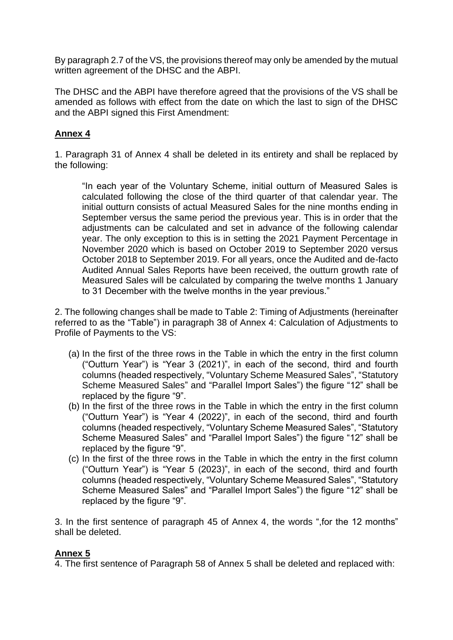By paragraph 2.7 of the VS, the provisions thereof may only be amended by the mutual written agreement of the DHSC and the ABPI.

The DHSC and the ABPI have therefore agreed that the provisions of the VS shall be amended as follows with effect from the date on which the last to sign of the DHSC and the ABPI signed this First Amendment:

## **Annex 4**

1. Paragraph 31 of Annex 4 shall be deleted in its entirety and shall be replaced by the following:

"In each year of the Voluntary Scheme, initial outturn of Measured Sales is calculated following the close of the third quarter of that calendar year. The initial outturn consists of actual Measured Sales for the nine months ending in September versus the same period the previous year. This is in order that the adjustments can be calculated and set in advance of the following calendar year. The only exception to this is in setting the 2021 Payment Percentage in November 2020 which is based on October 2019 to September 2020 versus October 2018 to September 2019. For all years, once the Audited and de-facto Audited Annual Sales Reports have been received, the outturn growth rate of Measured Sales will be calculated by comparing the twelve months 1 January to 31 December with the twelve months in the year previous."

2. The following changes shall be made to Table 2: Timing of Adjustments (hereinafter referred to as the "Table") in paragraph 38 of Annex 4: Calculation of Adjustments to Profile of Payments to the VS:

- (a) In the first of the three rows in the Table in which the entry in the first column ("Outturn Year") is "Year 3 (2021)", in each of the second, third and fourth columns (headed respectively, "Voluntary Scheme Measured Sales", "Statutory Scheme Measured Sales" and "Parallel Import Sales") the figure "12" shall be replaced by the figure "9".
- (b) In the first of the three rows in the Table in which the entry in the first column ("Outturn Year") is "Year 4 (2022)", in each of the second, third and fourth columns (headed respectively, "Voluntary Scheme Measured Sales", "Statutory Scheme Measured Sales" and "Parallel Import Sales") the figure "12" shall be replaced by the figure "9".
- (c) In the first of the three rows in the Table in which the entry in the first column ("Outturn Year") is "Year 5 (2023)", in each of the second, third and fourth columns (headed respectively, "Voluntary Scheme Measured Sales", "Statutory Scheme Measured Sales" and "Parallel Import Sales") the figure "12" shall be replaced by the figure "9".

3. In the first sentence of paragraph 45 of Annex 4, the words ",for the 12 months" shall be deleted.

## **Annex 5**

4. The first sentence of Paragraph 58 of Annex 5 shall be deleted and replaced with: